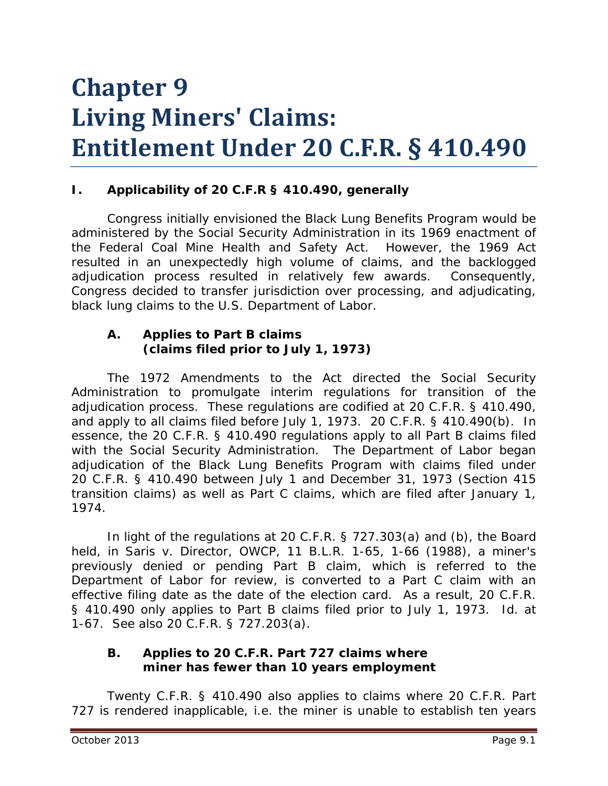# **Chapter 9 Living Miners' Claims: Entitlement Under 20 C.F.R. § 410.490**

## **I. Applicability of 20 C.F.R § 410.490, generally**

Congress initially envisioned the Black Lung Benefits Program would be administered by the Social Security Administration in its 1969 enactment of the Federal Coal Mine Health and Safety Act. However, the 1969 Act resulted in an unexpectedly high volume of claims, and the backlogged adjudication process resulted in relatively few awards. Consequently, Congress decided to transfer jurisdiction over processing, and adjudicating, black lung claims to the U.S. Department of Labor.

#### **A. Applies to Part B claims (claims filed prior to July 1, 1973)**

The 1972 Amendments to the Act directed the Social Security Administration to promulgate interim regulations for transition of the adjudication process. These regulations are codified at 20 C.F.R. § 410.490, and apply to all claims filed before July 1, 1973. 20 C.F.R. § 410.490(b). In essence, the 20 C.F.R. § 410.490 regulations apply to all Part B claims filed with the Social Security Administration. The Department of Labor began adjudication of the Black Lung Benefits Program with claims filed under 20 C.F.R. § 410.490 between July 1 and December 31, 1973 (Section 415 transition claims) as well as Part C claims, which are filed after January 1, 1974.

In light of the regulations at 20 C.F.R. § 727.303(a) and (b), the Board held, in *Saris v. Director, OWCP*, 11 B.L.R. 1-65, 1-66 (1988), a miner's previously denied or pending Part B claim, which is referred to the Department of Labor for review, is *converted* to a Part C claim with an effective filing date as the date of the election card. As a result, 20 C.F.R. § 410.490 only applies to Part B claims filed prior to July 1, 1973. *Id.* at 1-67. *See also* 20 C.F.R. § 727.203(a).

#### **B. Applies to 20 C.F.R. Part 727 claims where miner has fewer than 10 years employment**

Twenty C.F.R. § 410.490 also applies to claims where 20 C.F.R. Part 727 is rendered inapplicable, *i.e.* the miner is unable to establish ten years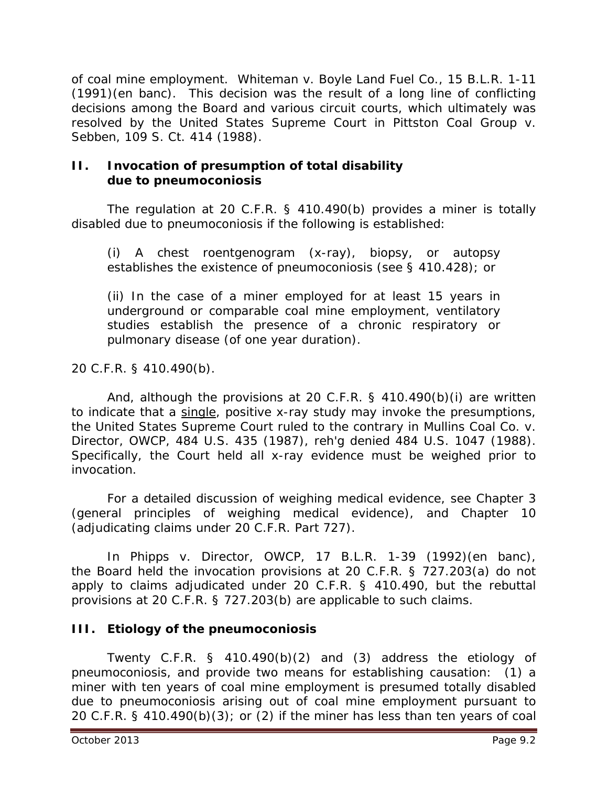of coal mine employment. *Whiteman v. Boyle Land Fuel Co.*, 15 B.L.R. 1-11 (1991)(*en banc*). This decision was the result of a long line of conflicting decisions among the Board and various circuit courts, which ultimately was resolved by the United States Supreme Court in *Pittston Coal Group v. Sebben*, 109 S. Ct. 414 (1988).

#### **II. Invocation of presumption of total disability due to pneumoconiosis**

The regulation at 20 C.F.R. § 410.490(b) provides a miner is totally disabled due to pneumoconiosis if the following is established:

(i) A chest roentgenogram (x-ray), biopsy, or autopsy establishes the existence of pneumoconiosis (see § 410.428); or

(ii) In the case of a miner employed for at least 15 years in underground or comparable coal mine employment, ventilatory studies establish the presence of a chronic respiratory or pulmonary disease (of one year duration).

20 C.F.R. § 410.490(b).

And, although the provisions at 20 C.F.R. § 410.490(b)(i) are written to indicate that a single, positive x-ray study may invoke the presumptions, the United States Supreme Court ruled to the contrary in *Mullins Coal Co. v. Director, OWCP*, 484 U.S. 435 (1987), *reh'g denied* 484 U.S. 1047 (1988). Specifically, the Court held all x-ray evidence must be weighed prior to invocation.

For a detailed discussion of weighing medical evidence, *see* Chapter 3 (general principles of weighing medical evidence), and Chapter 10 (adjudicating claims under 20 C.F.R. Part 727).

In *Phipps v. Director, OWCP*, 17 B.L.R. 1-39 (1992)(en banc), the Board held the invocation provisions at 20 C.F.R. § 727.203(a) do not apply to claims adjudicated under 20 C.F.R. § 410.490, but the rebuttal provisions at 20 C.F.R. § 727.203(b) are applicable to such claims.

## **III. Etiology of the pneumoconiosis**

Twenty C.F.R. § 410.490(b)(2) and (3) address the etiology of pneumoconiosis, and provide two means for establishing causation: (1) a miner with ten years of coal mine employment is presumed totally disabled due to pneumoconiosis arising out of coal mine employment pursuant to 20 C.F.R. § 410.490(b)(3); or (2) if the miner has less than ten years of coal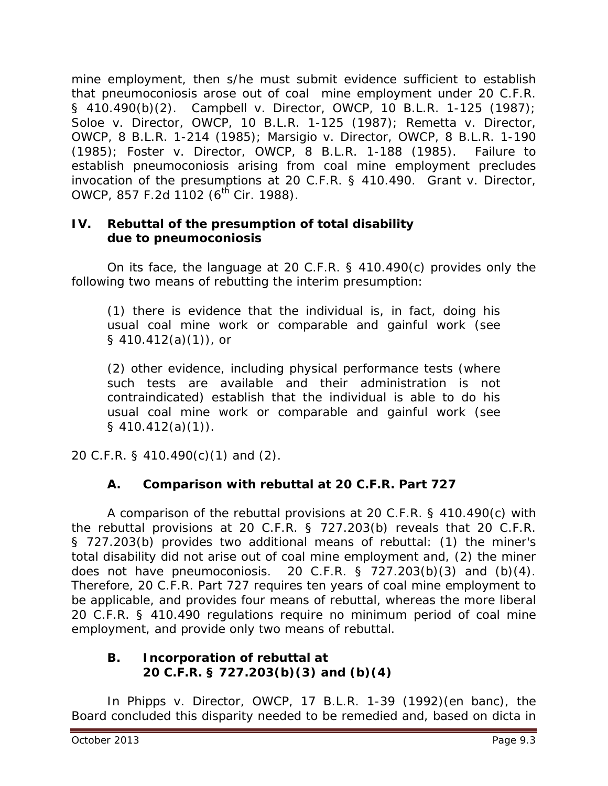mine employment, then s/he must submit evidence sufficient to establish that pneumoconiosis arose out of coal mine employment under 20 C.F.R. § 410.490(b)(2). *Campbell v. Director, OWCP*, 10 B.L.R. 1-125 (1987); *Soloe v. Director, OWCP*, 10 B.L.R. 1-125 (1987); *Remetta v. Director, OWCP*, 8 B.L.R. 1-214 (1985); *Marsigio v. Director, OWCP*, 8 B.L.R. 1-190 (1985); *Foster v. Director, OWCP*, 8 B.L.R. 1-188 (1985). Failure to establish pneumoconiosis arising from coal mine employment precludes invocation of the presumptions at 20 C.F.R. § 410.490. *Grant v. Director, OWCP*, 857 F.2d 1102 (6<sup>th</sup> Cir. 1988).

## **IV. Rebuttal of the presumption of total disability due to pneumoconiosis**

On its face, the language at 20 C.F.R. § 410.490(c) provides only the following two means of rebutting the interim presumption:

(1) there is evidence that the individual is, in fact, doing his usual coal mine work or comparable and gainful work (*see § 410.412(a)(1)*), or

(2) other evidence, including physical performance tests (where such tests are available and their administration is not contraindicated) establish that the individual is able to do his usual coal mine work or comparable and gainful work (*see § 410.412(a)(1)).*

20 C.F.R. § 410.490(c)(1) and (2).

## **A. Comparison with rebuttal at 20 C.F.R. Part 727**

A comparison of the rebuttal provisions at 20 C.F.R. § 410.490(c) with the rebuttal provisions at 20 C.F.R. § 727.203(b) reveals that 20 C.F.R. § 727.203(b) provides two additional means of rebuttal: (1) the miner's total disability did not arise out of coal mine employment and, (2) the miner does not have pneumoconiosis. 20 C.F.R.  $\frac{1}{5}$  727.203(b)(3) and (b)(4). Therefore, 20 C.F.R. Part 727 requires ten years of coal mine employment to be applicable, and provides four means of rebuttal, whereas the more liberal 20 C.F.R. § 410.490 regulations require no minimum period of coal mine employment, and provide only two means of rebuttal.

#### **B. Incorporation of rebuttal at 20 C.F.R. § 727.203(b)(3) and (b)(4)**

In *Phipps v. Director, OWCP*, 17 B.L.R. 1-39 (1992)(en banc), the Board concluded this disparity needed to be remedied and, based on *dicta* in